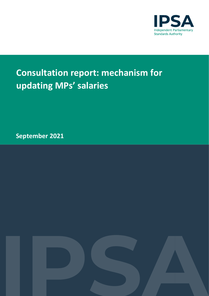

# **Consultation report: mechanism for updating MPs' salaries**

**September 2021**

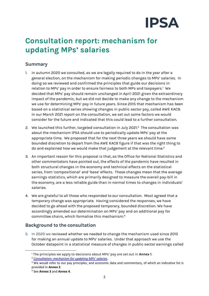

# **Consultation report: mechanism for updating MPs' salaries**

### **Summary**

- 1. In autumn 2020 we consulted, as we are legally required to do in the year after a general election, on the mechanism for making periodic changes to MPs' salaries. In doing so we reviewed and confirmed the principles that guide our decisions in relation to MPs' pay in order to ensure fairness to both MPs and taxpayers.<sup>1</sup> We decided that MPs' pay should remain unchanged in April 2021 given the extraordinary impact of the pandemic, but we did not decide to make any change to the mechanism we use for determining MPs' pay in future years. Since 2015 that mechanism has been based on a statistical series showing changes in public sector pay, called AWE KAC9. In our March 2021 report on the consultation, we set out some factors we would consider for the future and indicated that this could lead to a further consultation.
- 2. We launched this further, targeted consultation in July 2021. 2 The consultation was about the mechanism IPSA should use to periodically update MPs' pay at the appropriate time. We proposed that for the next three years we should have some bounded discretion to depart from the AWE KAC9 figure if that was the right thing to do and explained how we would make that judgement at the relevant time. 3
- 3. An important reason for this proposal is that, as the Office for National Statistics and other commentators have pointed out, the effects of the pandemic have resulted in both structural changes in the economy and technical effects on the statistical series, from 'compositional' and 'base' effects. These changes mean that the average earnings statistics, which are primarily designed to measure the overall pay-bill in the economy, are a less reliable guide than in normal times to changes in individuals' salaries.
- 4. We are grateful to all those who responded to our consultation. Most agreed that a temporary change was appropriate. Having considered the responses, we have decided to go ahead with the proposed temporary, bounded discretion. We have accordingly amended our determination on MPs' pay and on additional pay for committee chairs, which formalise this mechanism. 4

# **Background to the consultation**

5. In 2020 we reviewed whether we needed to change the mechanism used since 2015 for making an annual update to MPs' salaries. Under that approach we use the October datapoint in a statistical measure of changes in public sector earnings called

<sup>1</sup> The principles we apply to decisions about MPs' pay are set out in **Annex 1**.

<sup>2</sup> *[Consultation: mechanism for updating MPs' salaries](https://assets.ctfassets.net/nc7h1cs4q6ic/52YSJ3uBeHhLIs46KlCG5k/1258749dd79f1e83ad9b3651d37bb594/MPs_Pay_and_Pension_Consultation_and_Report_July_2021.pdf)*.

<sup>&</sup>lt;sup>3</sup> We would refer to our pay principles, and economic data and commentary, of which an indicative list is provided in **Annex 2**.

<sup>4</sup> See **Annex 3** and **Annex 4**.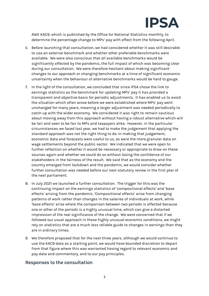

AWE KAC9, which is published by the Office for National Statistics monthly, to determine the percentage change to MPs' pay with effect from the following April.

- 6. Before launching that consultation, we had considered whether it was still desirable to use an external benchmark and whether other preferable benchmarks were available. We were also conscious that all available benchmarks would be significantly affected by the pandemic, the full impact of which was becoming clear during our consultation. We were therefore hesitant about making significant changes to our approach or changing benchmarks at a time of significant economic uncertainty when the behaviour of alternative benchmarks would be hard to gauge.
- 7. In the light of the consultation, we concluded that since IPSA chose the link to earnings statistics as the benchmark for updating MPs' pay it has provided a transparent and objective basis for periodic adjustments. It has enabled us to avoid the situation which often arose before we were established where MPs' pay went unchanged for many years, meaning a larger adjustment was needed periodically to catch up with the wider economy. We considered it was right to remain cautious about moving away from this approach without having a robust alternative which will be fair and seen to be fair to MPs and taxpayers alike. However, in the particular circumstances we faced last year, we had to make the judgement that applying the standard approach was not the right thing to do. In making that judgement, economic data and forecasts were useful to us, as were the more granular data on wage settlements beyond the public sector. We indicated that we were open to further reflection on whether it would be necessary or appropriate to draw on these sources again and whether we could do so without losing the confidence of our stakeholders in the fairness of the result. We said that as the economy and the country emerged from lockdown and the pandemic, we would consider whether further consultation was needed before our next statutory review in the first year of the next parliament.
- 8. In July 2021 we launched a further consultation. The trigger for this was the continuing impact on the earnings statistics of 'compositional effects' and 'base effects' arising from the pandemic. 'Compositional effects' arise from changing patterns of work rather than changes in the salaries of individuals at work, while 'base effects' arise where the comparison between two periods is affected because one or other of the periods is a highly unusual time, which can give a distorted impression of the real significance of the change. We were concerned that if we followed our usual approach in these highly unusual economic conditions, we might rely on statistics that are a much less reliable guide to changes in earnings than they are in ordinary times.
- 9. We therefore proposed that for the next three years, although we would continue to use the KAC9 data as a starting point, we would have bounded discretion to depart from that figure where this was warranted having regard to relevant economic and pay data and commentary, and to our pay principles.

#### **Responses to the consultation**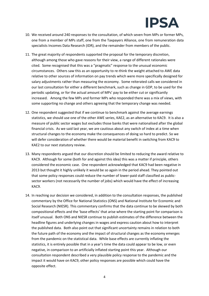

- 10. We received around 240 responses to the consultation, of which seven from MPs or former MPs, one from a member of MPs staff, one from the Taxpayers Alliance, one from remuneration data specialists Incomes Data Research (IDR), and the remainder from members of the public.
- 11. The great majority of respondents supported the proposal for the temporary discretion, although among those who gave reasons for their view, a range of different rationales were cited. Some recognised that this was a "pragmatic" response to the unusual economic circumstances. Others saw this as an opportunity to re-think the weight attached to AWE data relative to other sources of information on pay trends which were more specifically designed for salary adjustments rather than measuring the economy. Some reiterated calls we considered in our last consultation for either a different benchmark, such as change in GDP, to be used for the periodic updating, or for the actual amount of MPs' pay to be either cut or significantly increased. Among the few MPs and former MPs who responded there was a mix of views, with some supporting no change and others agreeing that the temporary change was needed.
- 12. One respondent suggested that if we continue to benchmark against the average earnings statistics, we should use one of the other AWE series, KAE2, as an alternative to KAC9. It is also a measure of public sector wages but excludes those banks that were nationalised after the global financial crisis. As we said last year, we are cautious about any switch of index at a time when structural changes to the economy make the consequences of doing so hard to predict. So we will defer consideration of whether there would be material benefit in switching from KAC9 to KAE2 to our next statutory review.
- 13. Many respondents argued that our discretion should be limited to reducing the award relative to KAC9. Although for some (both for and against this idea) this was a matter if principle, others considered the economic case. One respondent acknowledged that KAC9 had been negative in 2013 but thought it highly unlikely it would be so again in the period ahead. They pointed out that some policy responses could reduce the number of lower-paid staff classified as publicsector workers (not necessarily the number of jobs) which would have the effect of increasing KAC9.
- 14. In reaching our decision we considered, in addition to the consultation responses, the published commentary by the Office for National Statistics (ONS) and National Institute for Economic and Social Research (NIESR). This commentary confirms that the data continue to be skewed by both compositional effects and the 'base effects' that arise where the starting point for comparison is itself unusual. Both ONS and NIESR continue to publish estimates of the difference between the headline figures and underlying changes in wages and express caution about how to interpret the published data. Both also point out that significant uncertainty remains in relation to both the future path of the economy and the impact of structural changes as the economy emerges from the pandemic on the statistical data. While base effects are currently inflating the statistics, it is entirely possible that in a year's time the data could appear to be low, or even negative, in comparison to an artificially inflated starting point this year. Although our consultation respondent described a very plausible policy response to the pandemic and the impact it would have on KAC9, other policy responses are possible which could have the opposite effect.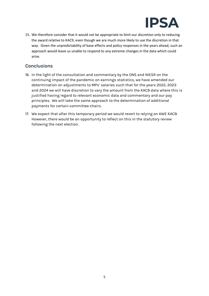

15. We therefore consider that it would not be appropriate to limit our discretion only to reducing the award relative to KAC9, even though we are much more likely to use the discretion in that way. Given the unpredictability of base effects and policy responses in the years ahead, such an approach would leave us unable to respond to any extreme changes in the data which could arise.

## **Conclusions**

- 16. In the light of the consultation and commentary by the ONS and NIESR on the continuing impact of the pandemic on earnings statistics, we have amended our determination on adjustments to MPs' salaries such that for the years 2022, 2023 and 2024 we will have discretion to vary the amount from the KAC9 data where this is justified having regard to relevant economic data and commentary and our pay principles. We will take the same approach to the determination of additional payments for certain committee chairs.
- 17. We expect that after this temporary period we would revert to relying on AWE KAC9. However, there would be an opportunity to reflect on this in the statutory review following the next election.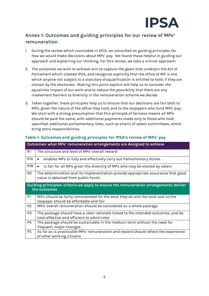

# **Annex 1: Outcomes and guiding principles for our review of MPs' remuneration**

- 1. During the review which concluded in 2015, we consulted on guiding principles for how we would make decisions about MPs' pay. We found these helpful in guiding our approach and explaining our thinking. For this review, we take a similar approach.
- 2. The outcomes we wish to achieve aim to capture the goals that underpin the Act of Parliament which created IPSA, and recognise explicitly that the office of MP is one which anyone not subject to a statutory disqualification is entitled to hold, if they are chosen by the electorate. Making this point explicit will help us to consider the equalities impact of our work and to reduce the possibility that there are any inadvertent barriers to diversity in the remuneration scheme we decide.
- 3. Taken together, these principles help us to ensure that our decisions are fair both to MPs, given the nature of the office they hold, and to the taxpayers who fund MPs' pay. We start with a strong presumption that this principle of fairness means all MPs should be paid the same, with additional payments made only to those who hold specified, additional parliamentary roles, such as chairs of select committees, which bring extra responsibilities.

| Outcomes: what MPs' remuneration arrangements are designed to achieve                                 |                                                                                                                                 |
|-------------------------------------------------------------------------------------------------------|---------------------------------------------------------------------------------------------------------------------------------|
| R1                                                                                                    | The structure and level of MPs' overall reward:                                                                                 |
| R <sub>1</sub> A                                                                                      | enables MPs to fully and effectively carry out Parliamentary duties<br>$\bullet$                                                |
| R <sub>1</sub> B                                                                                      | is fair for all MPs given the diversity of MPs who may be elected by voters<br>$\bullet$                                        |
| R <sub>2</sub>                                                                                        | The determination and its implementation provide appropriate assurance that good<br>value is obtained from public funds         |
| Guiding principles: criteria we apply to ensure the remuneration arrangements deliver<br>the outcomes |                                                                                                                                 |
| P <sub>1</sub>                                                                                        | MPs should be fairly remunerated for the work they do and the total cost to the<br>taxpayer should be affordable and fair       |
| P <sub>2</sub>                                                                                        | MPs' overall remuneration should be considered as a whole package                                                               |
| P <sub>3</sub>                                                                                        | The package should have a clear rationale linked to the intended outcomes, and be<br>cost-effective and efficient to administer |
| P4                                                                                                    | The package should be sustainable in the medium term without the need for<br>frequent, major changes                            |
| <b>P5</b>                                                                                             | As far as is practicable MPs' remuneration and reward should reflect the experience<br>of other working citizens                |

#### **Table 1: Outcomes and guiding principles for IPSA's review of MPs' pay**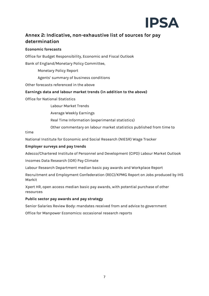

# **Annex 2: Indicative, non-exhaustive list of sources for pay determination**

#### **Economic forecasts**

Office for Budget Responsibility, Economic and Fiscal Outlook

Bank of England/Monetary Policy Committee,

Monetary Policy Report

Agents' summary of business conditions

Other forecasts referenced in the above

#### **Earnings data and labour market trends (in addition to the above)**

Office for National Statistics

Labour Market Trends

Average Weekly Earnings

Real Time Information (experimental statistics)

Other commentary on labour market statistics published from time to

time

National Institute for Economic and Social Research (NIESR) Wage Tracker

#### **Employer surveys and pay trends**

Adecco/Chartered Institute of Personnel and Development (CIPD) Labour Market Outlook

Incomes Data Research (IDR) Pay Climate

Labour Research Department median basic pay awards and Workplace Report

Recruitment and Employment Confederation (REC)/KPMG Report on Jobs produced by IHS Markit

Xpert HR, open access median basic pay awards, with potential purchase of other resources

#### **Public sector pay awards and pay strategy**

Senior Salaries Review Body: mandates received from and advice to government

Office for Manpower Economics: occasional research reports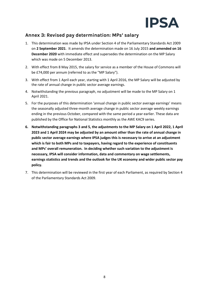

# **Annex 3: Revised pay determination: MPs' salary**

- 1. This determination was made by IPSA under Section 4 of the Parliamentary Standards Act 2009 on **2 September 2021**. It amends the determination made on 16 July 2015 **and amended on 16 December 2020** with immediate effect and supersedes the determination on the MP Salary which was made on 5 December 2013.
- 2. With effect from 8 May 2015, the salary for service as a member of the House of Commons will be £74,000 per annum (referred to as the "MP Salary").
- 3. With effect from 1 April each year, starting with 1 April 2016, the MP Salary will be adjusted by the rate of annual change in public sector average earnings.
- 4. Notwithstanding the previous paragraph, no adjustment will be made to the MP Salary on 1 April 2021.
- 5. For the purposes of this determination 'annual change in public sector average earnings' means the seasonally adjusted three-month average change in public sector average weekly earnings ending in the previous October, compared with the same period a year earlier. These data are published by the Office for National Statistics monthly as the AWE KAC9 series.
- **6. Notwithstanding paragraphs 3 and 5, the adjustments to the MP Salary on 1 April 2022, 1 April 2023 and 1 April 2024 may be adjusted by an amount other than the rate of annual change in public sector average earnings where IPSA judges this is necessary to arrive at an adjustment which is fair to both MPs and to taxpayers, having regard to the experience of constituents and MPs' overall remuneration. In deciding whether such variation to the adjustment is necessary, IPSA will consider information, data and commentary on wage settlements, earnings statistics and trends and the outlook for the UK economy and wider public sector pay policy.**
- 7. This determination will be reviewed in the first year of each Parliament, as required by Section 4 of the Parliamentary Standards Act 2009.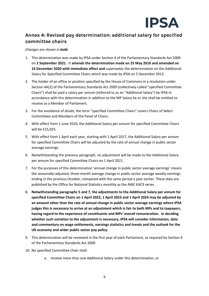

# **Annex 4: Revised pay determination: additional salary for specified committee chairs**

*Changes are shown in bold.*

- 1. This determination was made by IPSA under Section 4 of the Parliamentary Standards Act 2009 on **2 September 2021.** It **amends the determination made on 25 May 2016 and amended on 16 December 2020 with immediate effect and** supersedes the determination on the Additional Salary for Specified Committee Chairs which was made by IPSA on 5 December 2013.
- 2. The holder of an office or position specified by the House of Commons in a resolution under Section 4A(2) of the Parliamentary Standards Act 2009 (collectively called "specified Committee Chairs") shall be paid a salary per annum (referred to as an "Additional Salary") by IPSA in accordance with this determination in addition to the MP Salary he or she shall be entitled to receive as a Member of Parliament.
- 3. For the avoidance of doubt, the term "specified Committee Chairs" covers Chairs of Select Committees and Members of the Panel of Chairs.
- 4. With effect from 1 June 2016, the Additional Salary per annum for specified Committee Chairs will be £15,025.
- 5. With effect from 1 April each year, starting with 1 April 2017, the Additional Salary per annum for specified Committee Chairs will be adjusted by the rate of annual change in public sector average earnings.
- 6. Notwithstanding the previous paragraph, no adjustment will be made to the Additional Salary per annum for specified Committee Chairs on 1 April 2021.
- 7. For the purposes of this determination 'annual change in public sector average earnings' means the seasonally-adjusted, three-month average change in public sector average weekly earnings ending in the previous October, compared with the same period a year earlier. These data are published by the Office for National Statistics monthly as the AWE KAC9 series.
- 8. **Notwithstanding paragraphs 5 and 7, the adjustments to the Additional Salary per annum for specified Committee Chairs on 1 April 2022, 1 April 2023 and 1 April 2024 may be adjusted by an amount other than the rate of annual change in public sector average earnings where IPSA judges this is necessary to arrive at an adjustment which is fair to both MPs and to taxpayers, having regard to the experience of constituents and MPs' overall remuneration. In deciding whether such variation to the adjustment is necessary, IPSA will consider information, data and commentary on wage settlements, earnings statistics and trends and the outlook for the UK economy and wider public sector pay policy.**
- 9. This determination will be reviewed in the first year of each Parliament, as required by Section 4 of the Parliamentary Standards Act 2009.
- 10. No specified Committee Chair shall:
	- a. receive more than one Additional Salary under this determination, or